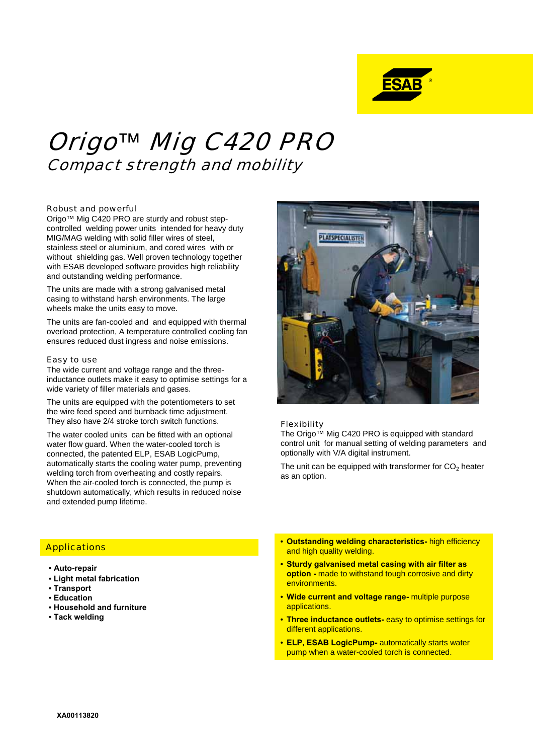

# Origo*™* Mig C420 PRO Compact strength and mobility

#### Robust and powerful

Origo™ Mig C420 PRO are sturdy and robust stepcontrolled welding power units intended for heavy duty MIG/MAG welding with solid filler wires of steel, stainless steel or aluminium, and cored wires with or without shielding gas. Well proven technology together with ESAB developed software provides high reliability and outstanding welding performance.

The units are made with a strong galvanised metal casing to withstand harsh environments. The large wheels make the units easy to move.

The units are fan-cooled and and equipped with thermal overload protection, A temperature controlled cooling fan ensures reduced dust ingress and noise emissions.

#### Easy to use

The wide current and voltage range and the threeinductance outlets make it easy to optimise settings for a wide variety of filler materials and gases.

The units are equipped with the potentiometers to set the wire feed speed and burnback time adjustment. They also have 2/4 stroke torch switch functions.

The water cooled units can be fitted with an optional water flow guard. When the water-cooled torch is connected, the patented ELP, ESAB LogicPump, automatically starts the cooling water pump, preventing welding torch from overheating and costly repairs. When the air-cooled torch is connected, the pump is shutdown automatically, which results in reduced noise and extended pump lifetime.



#### Flexibility

The Origo™ Mig C420 PRO is equipped with standard control unit for manual setting of welding parameters and optionally with V/A digital instrument.

The unit can be equipped with transformer for  $CO<sub>2</sub>$  heater as an option.

## **Applications**

- **Auto-repair**
- **Light metal fabrication**
- **Transport**
- **Education**
- **Household and furniture**
- **Tack welding**
- **Outstanding welding characteristics-** high efficiency and high quality welding.
- **Sturdy galvanised metal casing with air filter as option -** made to withstand tough corrosive and dirty environments.
- **Wide current and voltage range-** multiple purpose applications.
- **Three inductance outlets-** easy to optimise settings for different applications.
- **ELP, ESAB LogicPump-** automatically starts water pump when a water-cooled torch is connected.